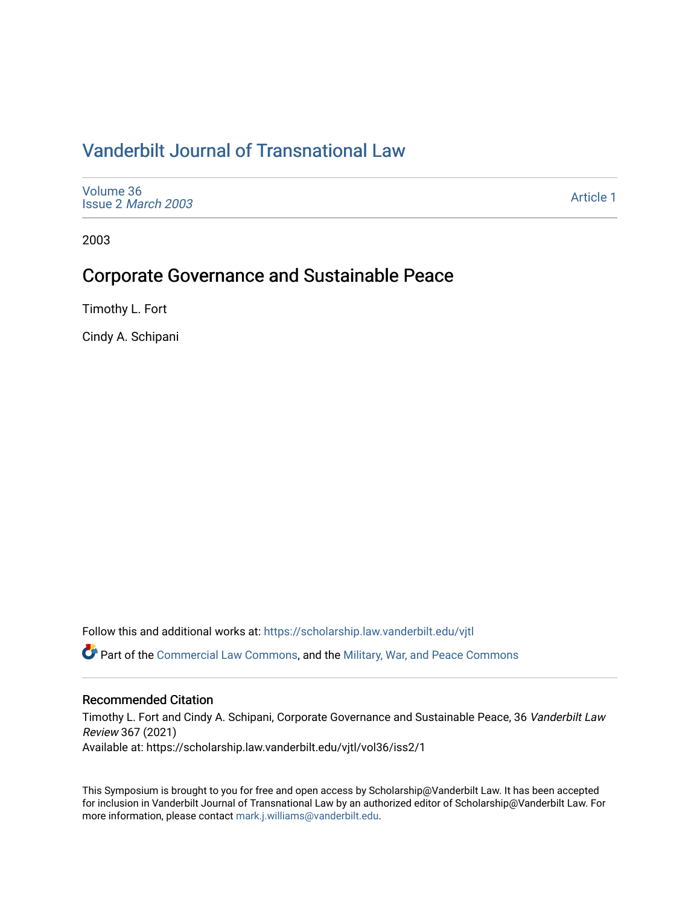# [Vanderbilt Journal of Transnational Law](https://scholarship.law.vanderbilt.edu/vjtl)

[Volume 36](https://scholarship.law.vanderbilt.edu/vjtl/vol36) Issue 2 [March 2003](https://scholarship.law.vanderbilt.edu/vjtl/vol36/iss2)

[Article 1](https://scholarship.law.vanderbilt.edu/vjtl/vol36/iss2/1) 

2003

### Corporate Governance and Sustainable Peace

Timothy L. Fort

Cindy A. Schipani

Follow this and additional works at: [https://scholarship.law.vanderbilt.edu/vjtl](https://scholarship.law.vanderbilt.edu/vjtl?utm_source=scholarship.law.vanderbilt.edu%2Fvjtl%2Fvol36%2Fiss2%2F1&utm_medium=PDF&utm_campaign=PDFCoverPages) 

Part of the [Commercial Law Commons](http://network.bepress.com/hgg/discipline/586?utm_source=scholarship.law.vanderbilt.edu%2Fvjtl%2Fvol36%2Fiss2%2F1&utm_medium=PDF&utm_campaign=PDFCoverPages), and the [Military, War, and Peace Commons](http://network.bepress.com/hgg/discipline/861?utm_source=scholarship.law.vanderbilt.edu%2Fvjtl%2Fvol36%2Fiss2%2F1&utm_medium=PDF&utm_campaign=PDFCoverPages) 

### Recommended Citation

Timothy L. Fort and Cindy A. Schipani, Corporate Governance and Sustainable Peace, 36 Vanderbilt Law Review 367 (2021) Available at: https://scholarship.law.vanderbilt.edu/vjtl/vol36/iss2/1

This Symposium is brought to you for free and open access by Scholarship@Vanderbilt Law. It has been accepted for inclusion in Vanderbilt Journal of Transnational Law by an authorized editor of Scholarship@Vanderbilt Law. For more information, please contact [mark.j.williams@vanderbilt.edu](mailto:mark.j.williams@vanderbilt.edu).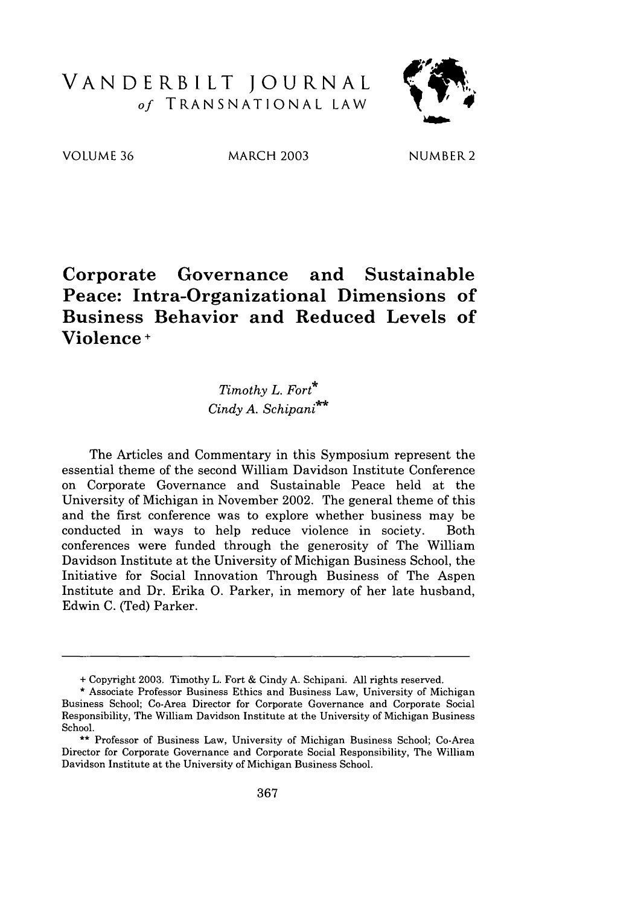## VANDERBILT **JOURNAL** *of* TRANSNATIONAL LAW



VOLUME 36 MARCH 2003 NUMBER2

### **Corporate Governance and Sustainable Peace: Intra-Organizational Dimensions of Business Behavior and Reduced Levels of Violence <sup>+</sup>**

*Timothy L. Fort\* Cindy A. Schipani\**

The Articles and Commentary in this Symposium represent the essential theme of the second William Davidson Institute Conference on Corporate Governance and Sustainable Peace held at the University of Michigan in November 2002. The general theme of this and the first conference was to explore whether business may be conducted in ways to help reduce violence in society. Both conferences were funded through the generosity of The William Davidson Institute at the University of Michigan Business School, the Initiative for Social Innovation Through Business of The Aspen Institute and Dr. Erika **0.** Parker, in memory of her late husband, Edwin C. (Ted) Parker.

<sup>+</sup> Copyright 2003. Timothy L. Fort & Cindy A. Schipani. All rights reserved.

<sup>\*</sup> Associate Professor Business Ethics and Business Law, University of Michigan Business School; Co-Area Director for Corporate Governance and Corporate Social Responsibility, The William Davidson Institute at the University of Michigan Business School.

<sup>\*\*</sup> Professor of Business Law, University of Michigan Business School; Co-Area Director for Corporate Governance and Corporate Social Responsibility, The William Davidson Institute at the University of Michigan Business School.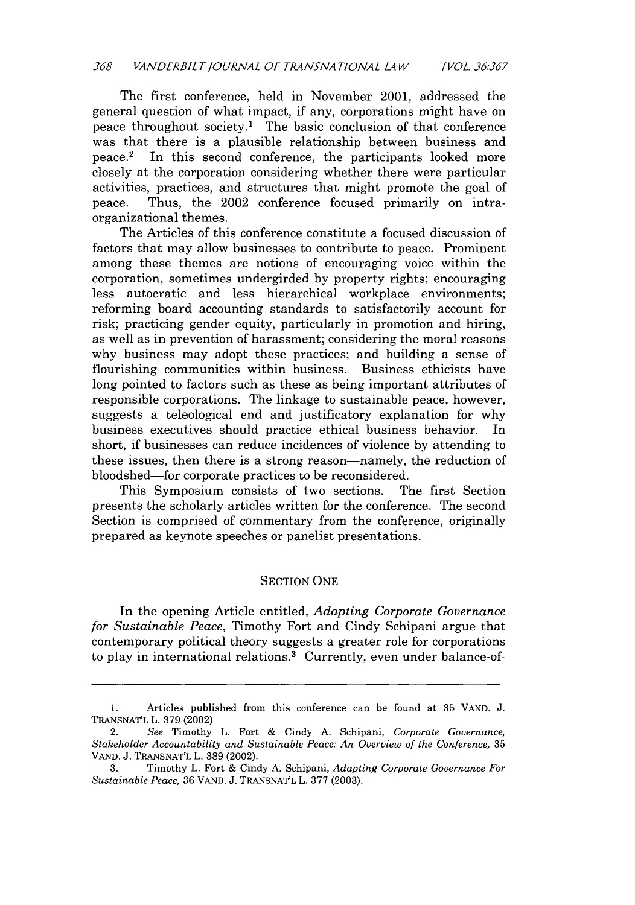The first conference, held in November 2001, addressed the general question of what impact, if any, corporations might have on peace throughout society.<sup>1</sup> The basic conclusion of that conference was that there is a plausible relationship between business and peace. 2 In this second conference, the participants looked more closely at the corporation considering whether there were particular activities, practices, and structures that might promote the goal of peace. Thus, the 2002 conference focused primarily on intraorganizational themes.

The Articles of this conference constitute a focused discussion of factors that may allow businesses to contribute to peace. Prominent among these themes are notions of encouraging voice within the corporation, sometimes undergirded by property rights; encouraging less autocratic and less hierarchical workplace environments; reforming board accounting standards to satisfactorily account for risk; practicing gender equity, particularly in promotion and hiring, as well as in prevention of harassment; considering the moral reasons why business may adopt these practices; and building a sense of flourishing communities within business. Business ethicists have long pointed to factors such as these as being important attributes of responsible corporations. The linkage to sustainable peace, however, suggests a teleological end and justificatory explanation for why business executives should practice ethical business behavior. In short, if businesses can reduce incidences of violence by attending to these issues, then there is a strong reason—namely, the reduction of bloodshed-for corporate practices to be reconsidered.

This Symposium consists of two sections. The first Section presents the scholarly articles written for the conference. The second Section is comprised of commentary from the conference, originally prepared as keynote speeches or panelist presentations.

#### SECTION ONE

In the opening Article entitled, *Adapting Corporate Governance for Sustainable Peace,* Timothy Fort and Cindy Schipani argue that contemporary political theory suggests a greater role for corporations to play in international relations.<sup>3</sup> Currently, even under balance-of-

<sup>1.</sup> Articles published from this conference can be found at 35 VAND. J. TRANSNAT'L L. 379 (2002)

<sup>2.</sup> *See* Timothy L. Fort & Cindy A. Schipani, *Corporate Governance, Stakeholder Accountability and Sustainable Peace: An Overview of the Conference,* 35 VAND. J. TRANSNAT'L L. 389 (2002).

<sup>3.</sup> Timothy L. Fort & Cindy A. Schipani, *Adapting Corporate Governance For Sustainable Peace,* 36 VAND. J. TRANSNAT'L L. 377 (2003).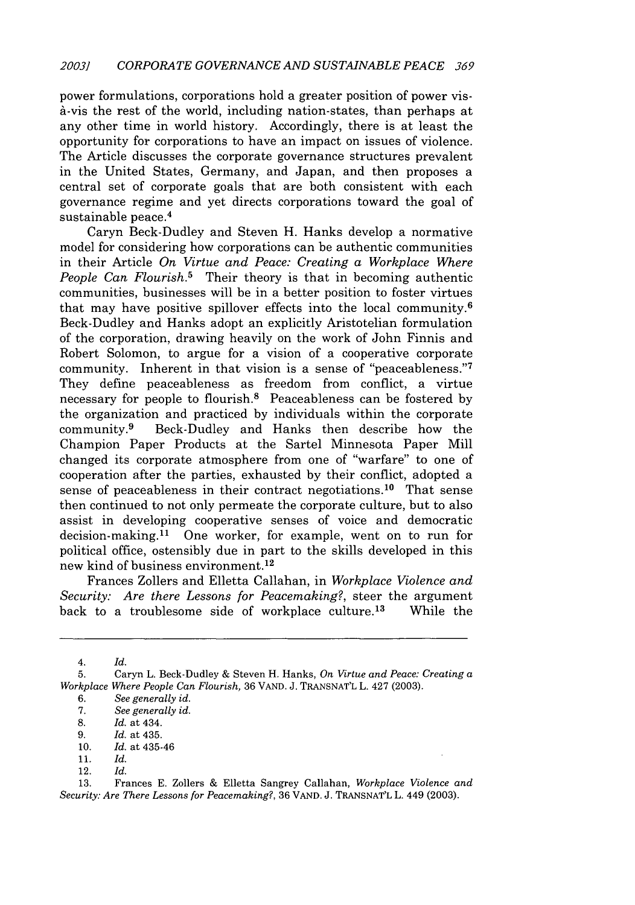power formulations, corporations hold a greater position of power vis-A-vis the rest of the world, including nation-states, than perhaps at any other time in world history. Accordingly, there is at least the opportunity for corporations to have an impact on issues of violence. The Article discusses the corporate governance structures prevalent in the United States, Germany, and Japan, and then proposes a central set of corporate goals that are both consistent with each governance regime and yet directs corporations toward the goal of sustainable peace.<sup>4</sup>

Caryn Beck-Dudley and Steven H. Hanks develop a normative model for considering how corporations can be authentic communities in their Article *On Virtue and Peace: Creating a Workplace Where People Can Flourish.5* Their theory is that in becoming authentic communities, businesses will be in a better position to foster virtues that may have positive spillover effects into the local community. <sup>6</sup> Beck-Dudley and Hanks adopt an explicitly Aristotelian formulation of the corporation, drawing heavily on the work of John Finnis and Robert Solomon, to argue for a vision of a cooperative corporate community. Inherent in that vision is a sense of "peaceableness."7 They define peaceableness as freedom from conflict, a virtue necessary for people to flourish.8 Peaceableness can be fostered by the organization and practiced by individuals within the corporate community. 9 Beck-Dudley and Hanks then describe how the Champion Paper Products at the Sartel Minnesota Paper Mill changed its corporate atmosphere from one of "warfare" to one of cooperation after the parties, exhausted by their conflict, adopted a sense of peaceableness in their contract negotiations.<sup>10</sup> That sense then continued to not only permeate the corporate culture, but to also assist in developing cooperative senses of voice and democratic decision-making.<sup>11</sup> One worker, for example, went on to run for political office, ostensibly due in part to the skills developed in this new kind of business environment.<sup>12</sup>

Frances Zollers and Elletta Callahan, in *Workplace Violence and Security: Are there Lessons for Peacemaking?,* steer the argument back to a troublesome side of workplace culture.<sup>13</sup> While the

*4. Id.*

<sup>5.</sup> Caryn L. Beck-Dudley & Steven H. Hanks, *On Virtue and Peace: Creating a Workplace Where People Can Flourish,* 36 VAND. J. TRANSNAT'L L. 427 (2003).

<sup>6.</sup> *See generally id.*

*<sup>7.</sup> See generally id.*

<sup>8.</sup> *Id.* at 434.

*<sup>9.</sup> Id.* at 435.

<sup>10.</sup> *Id.* at 435-46

<sup>11.</sup> *Id.*

<sup>12.</sup> *Id.*

<sup>13.</sup> Frances E. Zollers & Elletta Sangrey Callahan, *Workplace Violence and Security: Are There Lessons for Peacemaking?,* 36 VAND. J. TRANSNAT'L L. 449 (2003).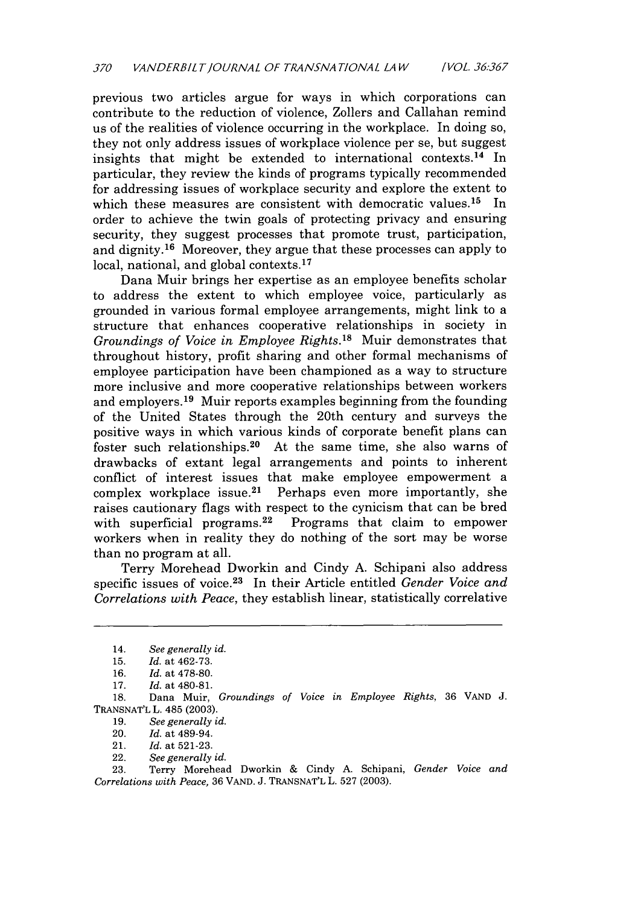previous two articles argue for ways in which corporations can contribute to the reduction of violence, Zollers and Callahan remind us of the realities of violence occurring in the workplace. In doing so, they not only address issues of workplace violence per se, but suggest insights that might be extended to international contexts. 14 In particular, they review the kinds of programs typically recommended for addressing issues of workplace security and explore the extent to which these measures are consistent with democratic values.<sup>15</sup> In order to achieve the twin goals of protecting privacy and ensuring security, they suggest processes that promote trust, participation, and dignity. 16 Moreover, they argue that these processes can apply to local, national, and global contexts.<sup>17</sup>

Dana Muir brings her expertise as an employee benefits scholar to address the extent to which employee voice, particularly as grounded in various formal employee arrangements, might link to a structure that enhances cooperative relationships in society in *Groundings of Voice in Employee Rights.'8* Muir demonstrates that throughout history, profit sharing and other formal mechanisms of employee participation have been championed as a way to structure more inclusive and more cooperative relationships between workers and employers. 19 Muir reports examples beginning from the founding of the United States through the 20th century and surveys the positive ways in which various kinds of corporate benefit plans can foster such relationships.<sup>20</sup> At the same time, she also warns of drawbacks of extant legal arrangements and points to inherent conflict of interest issues that make employee empowerment a complex workplace issue.<sup>21</sup> Perhaps even more importantly, she raises cautionary flags with respect to the cynicism that can be bred with superficial programs.<sup>22</sup> Programs that claim to empower workers when in reality they do nothing of the sort may be worse than no program at all.

Terry Morehead Dworkin and Cindy A. Schipani also address specific issues of voice. 23 In their Article entitled *Gender Voice and Correlations with Peace,* they establish linear, statistically correlative

18. Dana Muir, *Groundings of Voice in Employee Rights,* 36 VAND J. TRANSNAT'L L. 485 (2003).

19. *See generally id.*

22. *See generally id.*

23. Terry Morehead Dworkin & Cindy A. Schipani, *Gender Voice and Correlations with Peace,* 36 VAND. J. TRANSNAT'L L. 527 (2003).

<sup>14.</sup> *See generally id.*

<sup>15.</sup> *Id.* at 462-73.

<sup>16.</sup> *Id.* at 478-80.

<sup>17.</sup> *Id.* at 480-81.

<sup>20.</sup> *Id.* at 489-94.

<sup>21.</sup> Id. at 521-23.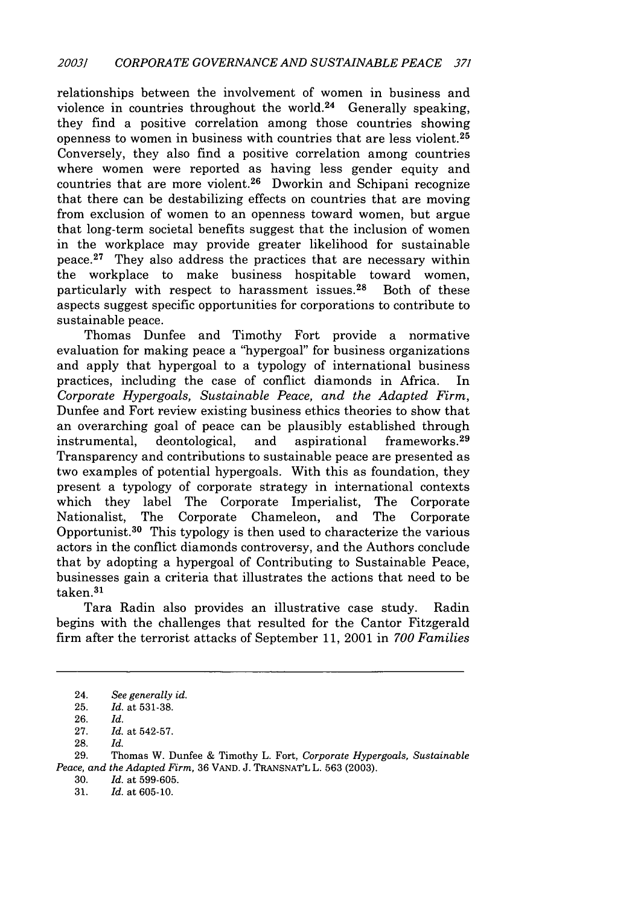relationships between the involvement of women in business and violence in countries throughout the world.<sup>24</sup> Generally speaking, they find a positive correlation among those countries showing openness to women in business with countries that are less violent.<sup>25</sup> Conversely, they also find a positive correlation among countries where women were reported as having less gender equity and countries that are more violent.26 Dworkin and Schipani recognize that there can be destabilizing effects on countries that are moving from exclusion of women to an openness toward women, but argue that long-term societal benefits suggest that the inclusion of women in the workplace may provide greater likelihood for sustainable peace. $27$  They also address the practices that are necessary within the workplace to make business hospitable toward women, particularly with respect to harassment issues.<sup>28</sup> Both of these aspects suggest specific opportunities for corporations to contribute to sustainable peace.

Thomas Dunfee and Timothy Fort provide a normative evaluation for making peace a "hypergoal" for business organizations and apply that hypergoal to a typology of international business practices, including the case of conflict diamonds in Africa. *Corporate Hypergoals, Sustainable Peace, and the Adapted Firm,* Dunfee and Fort review existing business ethics theories to show that an overarching goal of peace can be plausibly established through instrumental, deontological, and aspirational frameworks.<sup>29</sup> Transparency and contributions to sustainable peace are presented as two examples of potential hypergoals. With this as foundation, they present a typology of corporate strategy in international contexts which they label The Corporate Imperialist, The Corporate Nationalist, The Corporate Chameleon, and The Corporate Opportunist. 30 This typology is then used to characterize the various actors in the conflict diamonds controversy, and the Authors conclude that by adopting a hypergoal of Contributing to Sustainable Peace, businesses gain a criteria that illustrates the actions that need to be taken. <sup>31</sup>

Tara Radin also provides an illustrative case study. Radin begins with the challenges that resulted for the Cantor Fitzgerald firm after the terrorist attacks of September 11, 2001 in *700 Families*

30. *Id.* at 599-605.

31. *Id.* at 605-10.

<sup>24.</sup> *See generally id.*

<sup>25.</sup> *Id.* at 531-38.

<sup>26.</sup> *Id.*

<sup>27.</sup> *Id.* at 542-57.

<sup>28.</sup> *Id.*

<sup>29.</sup> Thomas W. Dunfee & Timothy L. Fort, *Corporate Hypergoals, Sustainable Peace, and the Adapted Firm,* 36 VAND. J. TRANSNAT'L L. 563 (2003).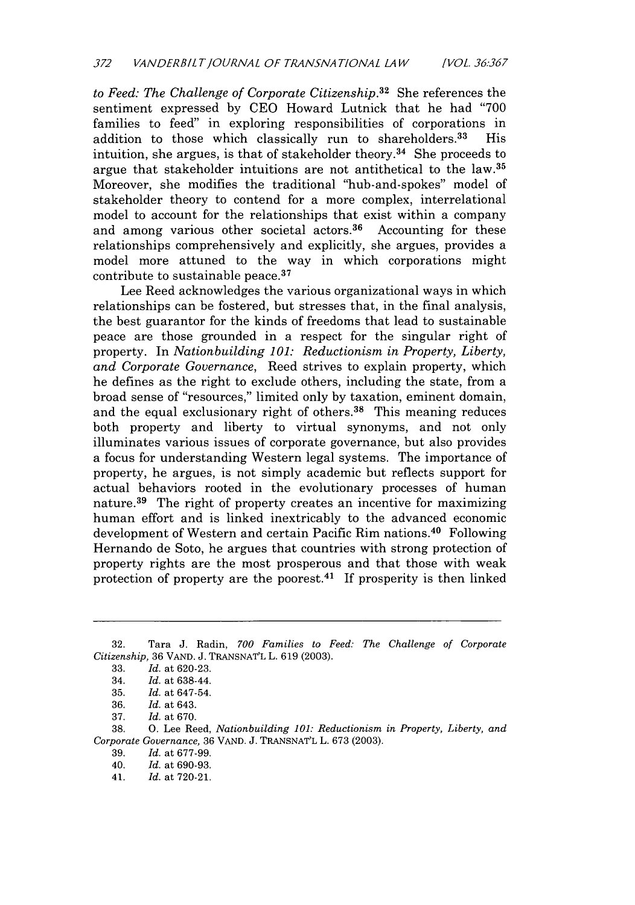*to Feed: The Challenge of Corporate Citizenship.*<sup>32</sup> She references the sentiment expressed by CEO Howard Lutnick that he had "700 families to feed" in exploring responsibilities of corporations in addition to those which classically run to shareholders.<sup>33</sup> His addition to those which classically run to shareholders.<sup>33</sup> intuition, she argues, is that of stakeholder theory. 34 She proceeds to argue that stakeholder intuitions are not antithetical to the law.35 Moreover, she modifies the traditional "hub-and-spokes" model of stakeholder theory to contend for a more complex, interrelational model to account for the relationships that exist within a company and among various other societal actors. $36$  Accounting for these relationships comprehensively and explicitly, she argues, provides a model more attuned to the way in which corporations might contribute to sustainable peace.<sup>37</sup>

Lee Reed acknowledges the various organizational ways in which relationships can be fostered, but stresses that, in the final analysis, the best guarantor for the kinds of freedoms that lead to sustainable peace are those grounded in a respect for the singular right of property. In *Nationbuilding 101: Reductionism in Property, Liberty, and Corporate Governance,* Reed strives to explain property, which he defines as the right to exclude others, including the state, from a broad sense of "resources," limited only by taxation, eminent domain, and the equal exclusionary right of others. 38 This meaning reduces both property and liberty to virtual synonyms, and not only illuminates various issues of corporate governance, but also provides a focus for understanding Western legal systems. The importance of property, he argues, is not simply academic but reflects support for actual behaviors rooted in the evolutionary processes of human nature.<sup>39</sup> The right of property creates an incentive for maximizing human effort and is linked inextricably to the advanced economic development of Western and certain Pacific Rim nations.40 Following Hernando de Soto, he argues that countries with strong protection of property rights are the most prosperous and that those with weak protection of property are the poorest.<sup>41</sup> If prosperity is then linked

38. **0.** Lee Reed, *Nationbuilding 101: Reductionism in Property, Liberty, and Corporate Governance,* 36 VAND. J. TRANSNAT'L L. 673 (2003).

39. *Id.* at 677-99.

<sup>32.</sup> Tara **J.** Radin, *700 Families to Feed: The Challenge of Corporate Citizenship,* 36 VAND. J. TRANSNAT'L L. 619 (2003).

<sup>33.</sup> *Id.* at 620-23.

<sup>34.</sup> *Id.* at 638-44.

<sup>35.</sup> *Id.* at 647-54.

<sup>36.</sup> *Id.* at 643.

<sup>37.</sup> *Id.* at 670.

<sup>40.</sup> *Id.* at 690-93.

<sup>41.</sup> *Id.* at 720-21.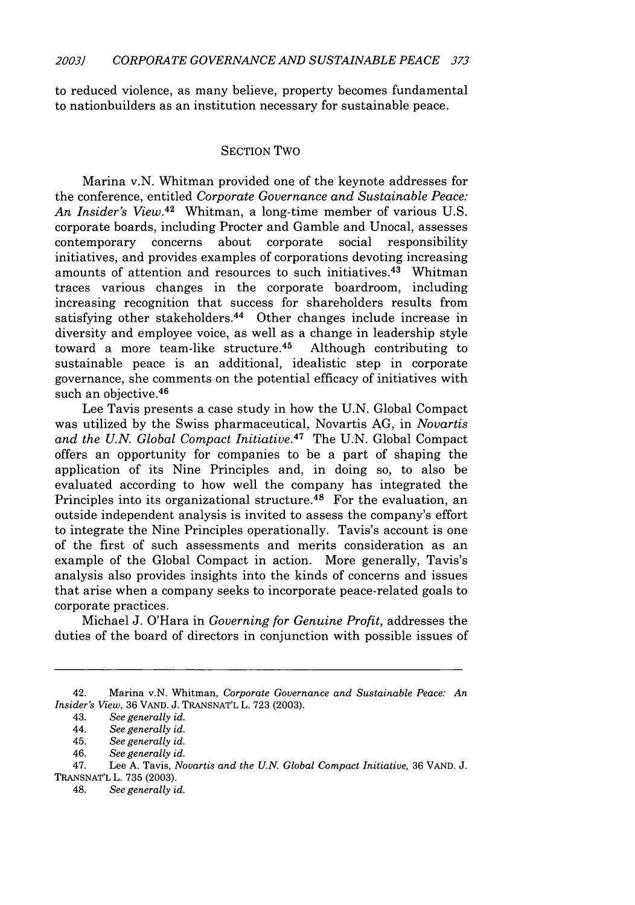to reduced violence, as many believe, property becomes fundamental to nationbuilders as an institution necessary for sustainable peace.

#### SECTION Two

Marina v.N. Whitman provided one of the keynote addresses for the conference, entitled *Corporate Governance and Sustainable Peace:* An Insider's View.<sup>42</sup> Whitman, a long-time member of various U.S. corporate boards, including Procter and Gamble and Unocal, assesses contemporary concerns about corporate social responsibility initiatives, and provides examples of corporations devoting increasing amounts of attention and resources to such initiatives.<sup>43</sup> Whitman traces various changes in the corporate boardroom, including increasing recognition that success for shareholders results from satisfying other stakeholders.<sup>44</sup> Other changes include increase in diversity and employee voice, as well as a change in leadership style toward a more team-like structure. 46 Although contributing to sustainable peace is an additional, idealistic step in corporate governance, she comments on the potential efficacy of initiatives with such an objective.<sup>46</sup>

Lee Tavis presents a case study in how the U.N. Global Compact was utilized by the Swiss pharmaceutical, Novartis AG, in *Novartis and the U.N. Global Compact Initiative.47* The U.N. Global Compact offers an opportunity for companies to be a part of shaping the application of its Nine Principles and, in doing so, to also be evaluated according to how well the company has integrated the Principles into its organizational structure.<sup>48</sup> For the evaluation, an outside independent analysis is invited to assess the company's effort to integrate the Nine Principles operationally. Tavis's account is one of the first of such assessments and merits consideration as an example of the Global Compact in action. More generally, Tavis's analysis also provides insights into the kinds of concerns and issues that arise when a company seeks to incorporate peace-related goals to corporate practices.

Michael J. O'Hara in *Governing for Genuine Profit,* addresses the duties of the board of directors in conjunction with possible issues of

<sup>42.</sup> Marina v.N. Whitman, *Corporate Governance and Sustainable Peace: An Insider's View,* 36 VAND. J. TRANSNAT'L L. 723 (2003).

<sup>43.</sup> *See generally id.*

<sup>44.</sup> *See generally id.*

<sup>45.</sup> *See generally id.*

<sup>46.</sup> *See generally id.*

<sup>47.</sup> Lee A. Tavis, *Novartis and the U.N. Global Compact Initiative,* 36 VAND. J. TRANSNAT'L L. 735 (2003).

<sup>48.</sup> *See generally id.*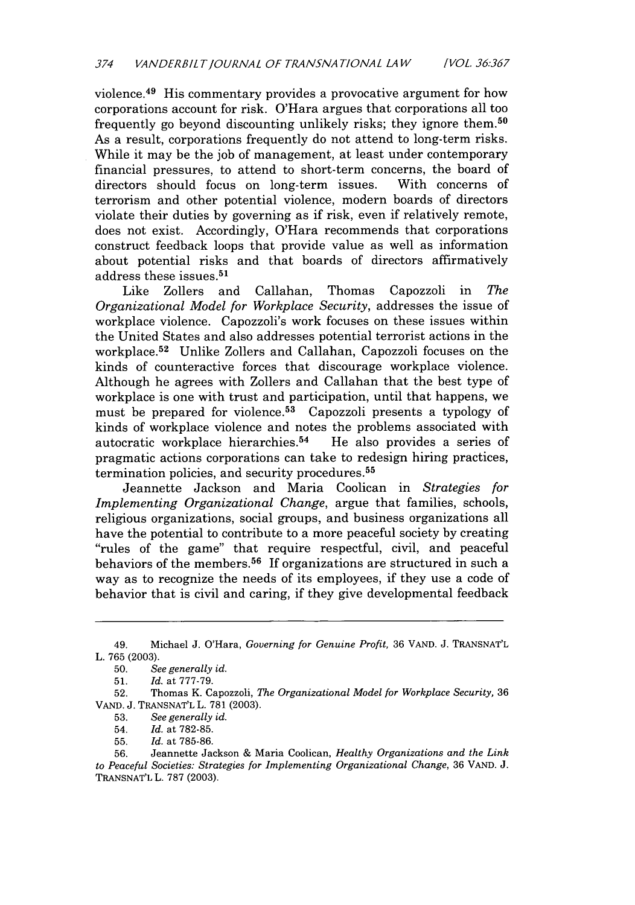violence. 49 His commentary provides a provocative argument for how corporations account for risk. O'Hara argues that corporations all too frequently go beyond discounting unlikely risks; they ignore them. <sup>50</sup> As a result, corporations frequently do not attend to long-term risks. While it may be the job of management, at least under contemporary financial pressures, to attend to short-term concerns, the board of directors should focus on long-term issues. With concerns of terrorism and other potential violence, modern boards of directors violate their duties by governing as if risk, even if relatively remote, does not exist. Accordingly, O'Hara recommends that corporations construct feedback loops that provide value as well as information about potential risks and that boards of directors affirmatively address these issues. <sup>51</sup>

Like Zollers and Callahan, Thomas Capozzoli in *The Organizational Model for Workplace Security,* addresses the issue of workplace violence. Capozzoli's work focuses on these issues within the United States and also addresses potential terrorist actions in the workplace.<sup>52</sup> Unlike Zollers and Callahan, Capozzoli focuses on the kinds of counteractive forces that discourage workplace violence. Although he agrees with Zollers and Callahan that the best type of workplace is one with trust and participation, until that happens, we must be prepared for violence.<sup>53</sup> Capozzoli presents a typology of kinds of workplace violence and notes the problems associated with<br>autocratic workplace hierarchies.<sup>54</sup> He also provides a series of autocratic workplace hierarchies.<sup>54</sup> pragmatic actions corporations can take to redesign hiring practices, termination policies, and security procedures. <sup>55</sup>

Jeannette Jackson and Maria Coolican in *Strategies for Implementing Organizational Change,* argue that families, schools, religious organizations, social groups, and business organizations all have the potential to contribute to a more peaceful society by creating "rules of the game" that require respectful, civil, and peaceful behaviors of the members.<sup>56</sup> If organizations are structured in such a way as to recognize the needs of its employees, if they use a code of behavior that is civil and caring, if they give developmental feedback

53. *See generally id.*

<sup>49.</sup> Michael J. O'Hara, *Governing for Genuine Profit,* 36 VAND. J. TRANSNAT'L L. 765 (2003).

<sup>50.</sup> *See generally id.*

<sup>51.</sup> *Id.* at 777-79.

<sup>52.</sup> Thomas K. Capozzoli, *The Organizational Model for Workplace Security,* 36 VAND. J. TRANSNAT'L L. 781 (2003).

<sup>54.</sup> *Id.* at 782-85.

<sup>55.</sup> *Id.* at 785-86.

<sup>56.</sup> Jeannette Jackson & Maria Coolican, *Healthy Organizations and the Link to Peaceful Societies: Strategies for Implementing Organizational Change,* 36 VAND. J. TRANSNAT'L L. 787 (2003).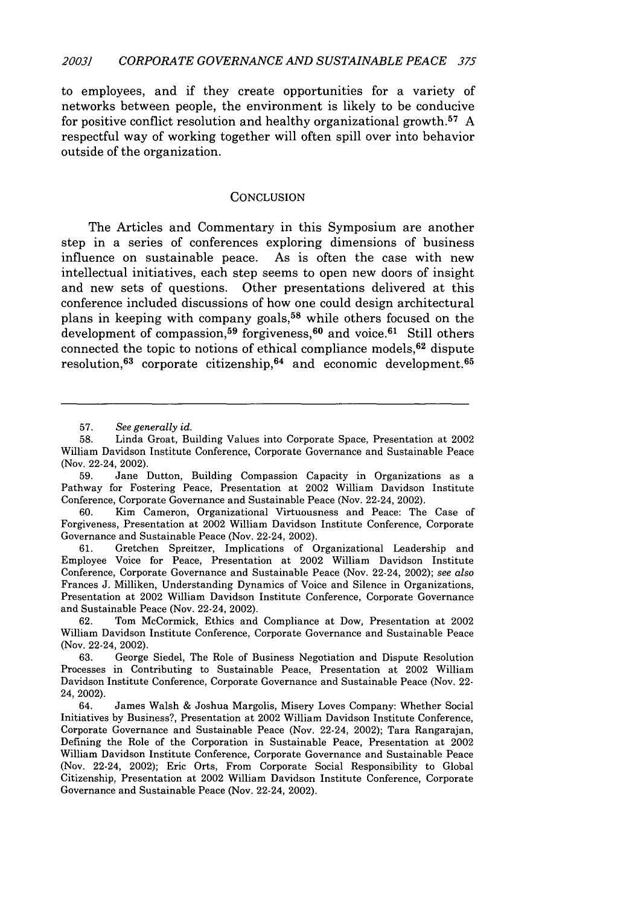to employees, and if they create opportunities for a variety of networks between people, the environment is likely to be conducive for positive conflict resolution and healthy organizational growth. <sup>57</sup>**A** respectful way of working together will often spill over into behavior outside of the organization.

#### **CONCLUSION**

The Articles and Commentary in this Symposium are another step in a series of conferences exploring dimensions of business influence on sustainable peace. As is often the case with new intellectual initiatives, each step seems to open new doors of insight and new sets of questions. Other presentations delivered at this conference included discussions of how one could design architectural plans in keeping with company goals,<sup>58</sup> while others focused on the development of compassion,<sup>59</sup> forgiveness,<sup>60</sup> and voice.<sup>61</sup> Still others connected the topic to notions of ethical compliance models,  $62$  dispute resolution,  $63$  corporate citizenship,  $64$  and economic development.  $65$ 

**<sup>57.</sup>** *See generally id.*

**<sup>58.</sup>** Linda Groat, Building Values into Corporate Space, Presentation at 2002 William Davidson Institute Conference, Corporate Governance and Sustainable Peace (Nov. 22-24, 2002).

**<sup>59.</sup>** Jane Dutton, Building Compassion Capacity in Organizations as a Pathway for Fostering Peace, Presentation at 2002 William Davidson Institute Conference, Corporate Governance and Sustainable Peace (Nov. 22-24, 2002).

**<sup>60.</sup>** Kim Cameron, Organizational Virtuousness and Peace: The Case of Forgiveness, Presentation at 2002 William Davidson Institute Conference, Corporate Governance and Sustainable Peace (Nov. 22-24, 2002).

**<sup>61.</sup>** Gretchen Spreitzer, Implications of Organizational Leadership and Employee Voice for Peace, Presentation at 2002 William Davidson Institute Conference, Corporate Governance and Sustainable Peace (Nov. 22-24, 2002); *see also* Frances **J.** Milliken, Understanding Dynamics of Voice and Silence in Organizations, Presentation at 2002 William Davidson Institute Conference, Corporate Governance and Sustainable Peace (Nov. 22-24, 2002).

**<sup>62.</sup>** Tom McCormick, Ethics and Compliance at Dow, Presentation at 2002 William Davidson Institute Conference, Corporate Governance and Sustainable Peace (Nov. 22-24, 2002).

**<sup>63.</sup>** George Siedel, The Role of Business Negotiation and Dispute Resolution Processes in Contributing to Sustainable Peace, Presentation at 2002 William Davidson Institute Conference, Corporate Governance and Sustainable Peace (Nov. 22- 24, 2002).

<sup>64.</sup> James Walsh **&** Joshua Margolis, Misery Loves Company: Whether Social Initiatives **by** Business?, Presentation at 2002 William Davidson Institute Conference, Corporate Governance and Sustainable Peace (Nov. 22-24, 2002); Tara Rangarajan, Defining the Role of the Corporation in Sustainable Peace, Presentation at 2002 William Davidson Institute Conference, Corporate Governance and Sustainable Peace (Nov. 22-24, 2002); Eric Orts, From Corporate Social Responsibility to Global Citizenship, Presentation at 2002 William Davidson Institute Conference, Corporate Governance and Sustainable Peace (Nov. 22-24, 2002).